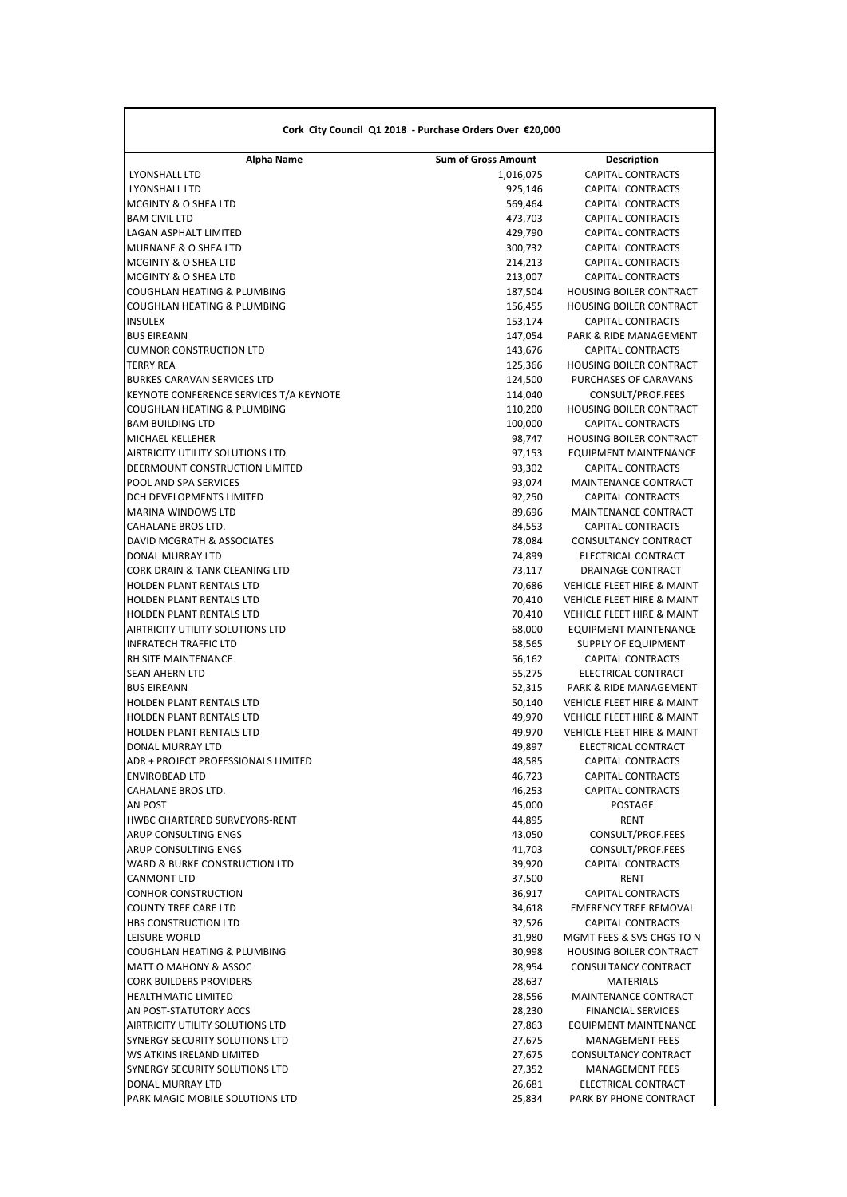| <b>Sum of Gross Amount</b><br>Description<br>Alpha Name<br><b>CAPITAL CONTRACTS</b><br>LYONSHALL LTD<br>1,016,075<br>LYONSHALL LTD<br>925,146<br><b>CAPITAL CONTRACTS</b><br>MCGINTY & O SHEA LTD<br>569,464<br><b>CAPITAL CONTRACTS</b><br><b>BAM CIVIL LTD</b><br>473,703<br><b>CAPITAL CONTRACTS</b><br>LAGAN ASPHALT LIMITED<br>429,790<br><b>CAPITAL CONTRACTS</b><br>300,732<br>MURNANE & O SHEA LTD<br><b>CAPITAL CONTRACTS</b><br>MCGINTY & O SHEA LTD<br>214,213<br><b>CAPITAL CONTRACTS</b><br>213,007<br><b>MCGINTY &amp; O SHEA LTD</b><br><b>CAPITAL CONTRACTS</b><br>COUGHLAN HEATING & PLUMBING<br>187,504<br><b>HOUSING BOILER CONTRACT</b><br>COUGHLAN HEATING & PLUMBING<br>156,455<br><b>HOUSING BOILER CONTRACT</b><br>INSULEX<br>153,174<br><b>CAPITAL CONTRACTS</b><br><b>BUS EIREANN</b><br>147,054<br>PARK & RIDE MANAGEMENT<br>CUMNOR CONSTRUCTION LTD<br>143,676<br><b>CAPITAL CONTRACTS</b><br>TERRY REA<br>125,366<br><b>HOUSING BOILER CONTRACT</b><br><b>BURKES CARAVAN SERVICES LTD</b><br>124,500<br>PURCHASES OF CARAVANS<br>KEYNOTE CONFERENCE SERVICES T/A KEYNOTE<br>114,040<br>CONSULT/PROF.FEES<br>COUGHLAN HEATING & PLUMBING<br>110,200<br><b>HOUSING BOILER CONTRACT</b><br><b>BAM BUILDING LTD</b><br>100,000<br>CAPITAL CONTRACTS<br>98,747<br>MICHAEL KELLEHER<br><b>HOUSING BOILER CONTRACT</b><br>AIRTRICITY UTILITY SOLUTIONS LTD<br>97,153<br><b>EQUIPMENT MAINTENANCE</b><br>93,302<br>DEERMOUNT CONSTRUCTION LIMITED<br><b>CAPITAL CONTRACTS</b><br>POOL AND SPA SERVICES<br>93,074<br>MAINTENANCE CONTRACT<br>DCH DEVELOPMENTS LIMITED<br>92,250<br><b>CAPITAL CONTRACTS</b><br><b>MARINA WINDOWS LTD</b><br>89,696<br>MAINTENANCE CONTRACT<br>CAHALANE BROS LTD.<br>84,553<br><b>CAPITAL CONTRACTS</b><br>78,084<br>DAVID MCGRATH & ASSOCIATES<br>CONSULTANCY CONTRACT<br>DONAL MURRAY LTD<br>74,899<br>ELECTRICAL CONTRACT<br>CORK DRAIN & TANK CLEANING LTD<br>73,117<br>DRAINAGE CONTRACT<br>HOLDEN PLANT RENTALS LTD<br>70,686<br><b>VEHICLE FLEET HIRE &amp; MAINT</b><br>HOLDEN PLANT RENTALS LTD<br>70,410<br><b>VEHICLE FLEET HIRE &amp; MAINT</b><br>HOLDEN PLANT RENTALS LTD<br>70,410<br><b>VEHICLE FLEET HIRE &amp; MAINT</b><br>AIRTRICITY UTILITY SOLUTIONS LTD<br>68,000<br>EQUIPMENT MAINTENANCE<br>INFRATECH TRAFFIC LTD<br>58,565<br>SUPPLY OF EQUIPMENT<br><b>RH SITE MAINTENANCE</b><br>56,162<br>CAPITAL CONTRACTS<br><b>SEAN AHERN LTD</b><br>55,275<br>ELECTRICAL CONTRACT<br><b>BUS EIREANN</b><br>52,315<br>PARK & RIDE MANAGEMENT<br>HOLDEN PLANT RENTALS LTD<br>50,140<br><b>VEHICLE FLEET HIRE &amp; MAINT</b><br>HOLDEN PLANT RENTALS LTD<br>49,970<br><b>VEHICLE FLEET HIRE &amp; MAINT</b><br><b>HOLDEN PLANT RENTALS LTD</b><br>49,970<br><b>VEHICLE FLEET HIRE &amp; MAINT</b><br>49,897<br>DONAL MURRAY LTD<br>ELECTRICAL CONTRACT<br>ADR + PROJECT PROFESSIONALS LIMITED<br>48,585<br>CAPITAL CONTRACTS<br>46,723<br><b>ENVIROBEAD LTD</b><br>CAPITAL CONTRACTS<br>CAHALANE BROS LTD.<br>46,253<br><b>CAPITAL CONTRACTS</b><br>45,000<br>AN POST<br>POSTAGE<br>HWBC CHARTERED SURVEYORS-RENT<br>44,895<br>RENT<br>ARUP CONSULTING ENGS<br>43,050<br>CONSULT/PROF.FEES<br>ARUP CONSULTING ENGS<br>41,703<br>CONSULT/PROF.FEES<br>WARD & BURKE CONSTRUCTION LTD<br>39,920<br>CAPITAL CONTRACTS<br>CANMONT LTD<br>37,500<br>RENT<br>CONHOR CONSTRUCTION<br>36,917<br>CAPITAL CONTRACTS<br><b>COUNTY TREE CARE LTD</b><br>34,618<br><b>EMERENCY TREE REMOVAL</b><br><b>HBS CONSTRUCTION LTD</b><br>32,526<br><b>CAPITAL CONTRACTS</b><br>LEISURE WORLD<br>31,980<br>MGMT FEES & SVS CHGS TO N<br>COUGHLAN HEATING & PLUMBING<br>30,998<br><b>HOUSING BOILER CONTRACT</b><br>MATT O MAHONY & ASSOC<br>28,954<br>CONSULTANCY CONTRACT<br>CORK BUILDERS PROVIDERS<br>28,637<br><b>MATERIALS</b><br><b>HEALTHMATIC LIMITED</b><br>MAINTENANCE CONTRACT<br>28,556<br>AN POST-STATUTORY ACCS<br>28,230<br><b>FINANCIAL SERVICES</b><br>AIRTRICITY UTILITY SOLUTIONS LTD<br>27,863<br><b>EQUIPMENT MAINTENANCE</b><br>SYNERGY SECURITY SOLUTIONS LTD<br>27,675<br><b>MANAGEMENT FEES</b><br>WS ATKINS IRELAND LIMITED<br>27,675<br>CONSULTANCY CONTRACT<br>SYNERGY SECURITY SOLUTIONS LTD<br>27,352<br>MANAGEMENT FEES<br>DONAL MURRAY LTD<br>26,681<br>ELECTRICAL CONTRACT | Cork City Council Q1 2018 - Purchase Orders Over €20,000 |        |                        |  |
|---------------------------------------------------------------------------------------------------------------------------------------------------------------------------------------------------------------------------------------------------------------------------------------------------------------------------------------------------------------------------------------------------------------------------------------------------------------------------------------------------------------------------------------------------------------------------------------------------------------------------------------------------------------------------------------------------------------------------------------------------------------------------------------------------------------------------------------------------------------------------------------------------------------------------------------------------------------------------------------------------------------------------------------------------------------------------------------------------------------------------------------------------------------------------------------------------------------------------------------------------------------------------------------------------------------------------------------------------------------------------------------------------------------------------------------------------------------------------------------------------------------------------------------------------------------------------------------------------------------------------------------------------------------------------------------------------------------------------------------------------------------------------------------------------------------------------------------------------------------------------------------------------------------------------------------------------------------------------------------------------------------------------------------------------------------------------------------------------------------------------------------------------------------------------------------------------------------------------------------------------------------------------------------------------------------------------------------------------------------------------------------------------------------------------------------------------------------------------------------------------------------------------------------------------------------------------------------------------------------------------------------------------------------------------------------------------------------------------------------------------------------------------------------------------------------------------------------------------------------------------------------------------------------------------------------------------------------------------------------------------------------------------------------------------------------------------------------------------------------------------------------------------------------------------------------------------------------------------------------------------------------------------------------------------------------------------------------------------------------------------------------------------------------------------------------------------------------------------------------------------------------------------------------------------------------------------------------------------------------------------------------------------------------------------------------------------------------------------------------------------------------------------------------------------------------------------------------------------------------------------------------------------------------------------------------------------------------------------------------------------------------------------------------------------------------------------------------------------------------------------------------------------------------------------------------------------------------------------------------------------------|----------------------------------------------------------|--------|------------------------|--|
|                                                                                                                                                                                                                                                                                                                                                                                                                                                                                                                                                                                                                                                                                                                                                                                                                                                                                                                                                                                                                                                                                                                                                                                                                                                                                                                                                                                                                                                                                                                                                                                                                                                                                                                                                                                                                                                                                                                                                                                                                                                                                                                                                                                                                                                                                                                                                                                                                                                                                                                                                                                                                                                                                                                                                                                                                                                                                                                                                                                                                                                                                                                                                                                                                                                                                                                                                                                                                                                                                                                                                                                                                                                                                                                                                                                                                                                                                                                                                                                                                                                                                                                                                                                                                                                         |                                                          |        |                        |  |
|                                                                                                                                                                                                                                                                                                                                                                                                                                                                                                                                                                                                                                                                                                                                                                                                                                                                                                                                                                                                                                                                                                                                                                                                                                                                                                                                                                                                                                                                                                                                                                                                                                                                                                                                                                                                                                                                                                                                                                                                                                                                                                                                                                                                                                                                                                                                                                                                                                                                                                                                                                                                                                                                                                                                                                                                                                                                                                                                                                                                                                                                                                                                                                                                                                                                                                                                                                                                                                                                                                                                                                                                                                                                                                                                                                                                                                                                                                                                                                                                                                                                                                                                                                                                                                                         |                                                          |        |                        |  |
|                                                                                                                                                                                                                                                                                                                                                                                                                                                                                                                                                                                                                                                                                                                                                                                                                                                                                                                                                                                                                                                                                                                                                                                                                                                                                                                                                                                                                                                                                                                                                                                                                                                                                                                                                                                                                                                                                                                                                                                                                                                                                                                                                                                                                                                                                                                                                                                                                                                                                                                                                                                                                                                                                                                                                                                                                                                                                                                                                                                                                                                                                                                                                                                                                                                                                                                                                                                                                                                                                                                                                                                                                                                                                                                                                                                                                                                                                                                                                                                                                                                                                                                                                                                                                                                         |                                                          |        |                        |  |
|                                                                                                                                                                                                                                                                                                                                                                                                                                                                                                                                                                                                                                                                                                                                                                                                                                                                                                                                                                                                                                                                                                                                                                                                                                                                                                                                                                                                                                                                                                                                                                                                                                                                                                                                                                                                                                                                                                                                                                                                                                                                                                                                                                                                                                                                                                                                                                                                                                                                                                                                                                                                                                                                                                                                                                                                                                                                                                                                                                                                                                                                                                                                                                                                                                                                                                                                                                                                                                                                                                                                                                                                                                                                                                                                                                                                                                                                                                                                                                                                                                                                                                                                                                                                                                                         |                                                          |        |                        |  |
|                                                                                                                                                                                                                                                                                                                                                                                                                                                                                                                                                                                                                                                                                                                                                                                                                                                                                                                                                                                                                                                                                                                                                                                                                                                                                                                                                                                                                                                                                                                                                                                                                                                                                                                                                                                                                                                                                                                                                                                                                                                                                                                                                                                                                                                                                                                                                                                                                                                                                                                                                                                                                                                                                                                                                                                                                                                                                                                                                                                                                                                                                                                                                                                                                                                                                                                                                                                                                                                                                                                                                                                                                                                                                                                                                                                                                                                                                                                                                                                                                                                                                                                                                                                                                                                         |                                                          |        |                        |  |
|                                                                                                                                                                                                                                                                                                                                                                                                                                                                                                                                                                                                                                                                                                                                                                                                                                                                                                                                                                                                                                                                                                                                                                                                                                                                                                                                                                                                                                                                                                                                                                                                                                                                                                                                                                                                                                                                                                                                                                                                                                                                                                                                                                                                                                                                                                                                                                                                                                                                                                                                                                                                                                                                                                                                                                                                                                                                                                                                                                                                                                                                                                                                                                                                                                                                                                                                                                                                                                                                                                                                                                                                                                                                                                                                                                                                                                                                                                                                                                                                                                                                                                                                                                                                                                                         |                                                          |        |                        |  |
|                                                                                                                                                                                                                                                                                                                                                                                                                                                                                                                                                                                                                                                                                                                                                                                                                                                                                                                                                                                                                                                                                                                                                                                                                                                                                                                                                                                                                                                                                                                                                                                                                                                                                                                                                                                                                                                                                                                                                                                                                                                                                                                                                                                                                                                                                                                                                                                                                                                                                                                                                                                                                                                                                                                                                                                                                                                                                                                                                                                                                                                                                                                                                                                                                                                                                                                                                                                                                                                                                                                                                                                                                                                                                                                                                                                                                                                                                                                                                                                                                                                                                                                                                                                                                                                         |                                                          |        |                        |  |
|                                                                                                                                                                                                                                                                                                                                                                                                                                                                                                                                                                                                                                                                                                                                                                                                                                                                                                                                                                                                                                                                                                                                                                                                                                                                                                                                                                                                                                                                                                                                                                                                                                                                                                                                                                                                                                                                                                                                                                                                                                                                                                                                                                                                                                                                                                                                                                                                                                                                                                                                                                                                                                                                                                                                                                                                                                                                                                                                                                                                                                                                                                                                                                                                                                                                                                                                                                                                                                                                                                                                                                                                                                                                                                                                                                                                                                                                                                                                                                                                                                                                                                                                                                                                                                                         |                                                          |        |                        |  |
|                                                                                                                                                                                                                                                                                                                                                                                                                                                                                                                                                                                                                                                                                                                                                                                                                                                                                                                                                                                                                                                                                                                                                                                                                                                                                                                                                                                                                                                                                                                                                                                                                                                                                                                                                                                                                                                                                                                                                                                                                                                                                                                                                                                                                                                                                                                                                                                                                                                                                                                                                                                                                                                                                                                                                                                                                                                                                                                                                                                                                                                                                                                                                                                                                                                                                                                                                                                                                                                                                                                                                                                                                                                                                                                                                                                                                                                                                                                                                                                                                                                                                                                                                                                                                                                         |                                                          |        |                        |  |
|                                                                                                                                                                                                                                                                                                                                                                                                                                                                                                                                                                                                                                                                                                                                                                                                                                                                                                                                                                                                                                                                                                                                                                                                                                                                                                                                                                                                                                                                                                                                                                                                                                                                                                                                                                                                                                                                                                                                                                                                                                                                                                                                                                                                                                                                                                                                                                                                                                                                                                                                                                                                                                                                                                                                                                                                                                                                                                                                                                                                                                                                                                                                                                                                                                                                                                                                                                                                                                                                                                                                                                                                                                                                                                                                                                                                                                                                                                                                                                                                                                                                                                                                                                                                                                                         |                                                          |        |                        |  |
|                                                                                                                                                                                                                                                                                                                                                                                                                                                                                                                                                                                                                                                                                                                                                                                                                                                                                                                                                                                                                                                                                                                                                                                                                                                                                                                                                                                                                                                                                                                                                                                                                                                                                                                                                                                                                                                                                                                                                                                                                                                                                                                                                                                                                                                                                                                                                                                                                                                                                                                                                                                                                                                                                                                                                                                                                                                                                                                                                                                                                                                                                                                                                                                                                                                                                                                                                                                                                                                                                                                                                                                                                                                                                                                                                                                                                                                                                                                                                                                                                                                                                                                                                                                                                                                         |                                                          |        |                        |  |
|                                                                                                                                                                                                                                                                                                                                                                                                                                                                                                                                                                                                                                                                                                                                                                                                                                                                                                                                                                                                                                                                                                                                                                                                                                                                                                                                                                                                                                                                                                                                                                                                                                                                                                                                                                                                                                                                                                                                                                                                                                                                                                                                                                                                                                                                                                                                                                                                                                                                                                                                                                                                                                                                                                                                                                                                                                                                                                                                                                                                                                                                                                                                                                                                                                                                                                                                                                                                                                                                                                                                                                                                                                                                                                                                                                                                                                                                                                                                                                                                                                                                                                                                                                                                                                                         |                                                          |        |                        |  |
|                                                                                                                                                                                                                                                                                                                                                                                                                                                                                                                                                                                                                                                                                                                                                                                                                                                                                                                                                                                                                                                                                                                                                                                                                                                                                                                                                                                                                                                                                                                                                                                                                                                                                                                                                                                                                                                                                                                                                                                                                                                                                                                                                                                                                                                                                                                                                                                                                                                                                                                                                                                                                                                                                                                                                                                                                                                                                                                                                                                                                                                                                                                                                                                                                                                                                                                                                                                                                                                                                                                                                                                                                                                                                                                                                                                                                                                                                                                                                                                                                                                                                                                                                                                                                                                         |                                                          |        |                        |  |
|                                                                                                                                                                                                                                                                                                                                                                                                                                                                                                                                                                                                                                                                                                                                                                                                                                                                                                                                                                                                                                                                                                                                                                                                                                                                                                                                                                                                                                                                                                                                                                                                                                                                                                                                                                                                                                                                                                                                                                                                                                                                                                                                                                                                                                                                                                                                                                                                                                                                                                                                                                                                                                                                                                                                                                                                                                                                                                                                                                                                                                                                                                                                                                                                                                                                                                                                                                                                                                                                                                                                                                                                                                                                                                                                                                                                                                                                                                                                                                                                                                                                                                                                                                                                                                                         |                                                          |        |                        |  |
|                                                                                                                                                                                                                                                                                                                                                                                                                                                                                                                                                                                                                                                                                                                                                                                                                                                                                                                                                                                                                                                                                                                                                                                                                                                                                                                                                                                                                                                                                                                                                                                                                                                                                                                                                                                                                                                                                                                                                                                                                                                                                                                                                                                                                                                                                                                                                                                                                                                                                                                                                                                                                                                                                                                                                                                                                                                                                                                                                                                                                                                                                                                                                                                                                                                                                                                                                                                                                                                                                                                                                                                                                                                                                                                                                                                                                                                                                                                                                                                                                                                                                                                                                                                                                                                         |                                                          |        |                        |  |
|                                                                                                                                                                                                                                                                                                                                                                                                                                                                                                                                                                                                                                                                                                                                                                                                                                                                                                                                                                                                                                                                                                                                                                                                                                                                                                                                                                                                                                                                                                                                                                                                                                                                                                                                                                                                                                                                                                                                                                                                                                                                                                                                                                                                                                                                                                                                                                                                                                                                                                                                                                                                                                                                                                                                                                                                                                                                                                                                                                                                                                                                                                                                                                                                                                                                                                                                                                                                                                                                                                                                                                                                                                                                                                                                                                                                                                                                                                                                                                                                                                                                                                                                                                                                                                                         |                                                          |        |                        |  |
|                                                                                                                                                                                                                                                                                                                                                                                                                                                                                                                                                                                                                                                                                                                                                                                                                                                                                                                                                                                                                                                                                                                                                                                                                                                                                                                                                                                                                                                                                                                                                                                                                                                                                                                                                                                                                                                                                                                                                                                                                                                                                                                                                                                                                                                                                                                                                                                                                                                                                                                                                                                                                                                                                                                                                                                                                                                                                                                                                                                                                                                                                                                                                                                                                                                                                                                                                                                                                                                                                                                                                                                                                                                                                                                                                                                                                                                                                                                                                                                                                                                                                                                                                                                                                                                         |                                                          |        |                        |  |
|                                                                                                                                                                                                                                                                                                                                                                                                                                                                                                                                                                                                                                                                                                                                                                                                                                                                                                                                                                                                                                                                                                                                                                                                                                                                                                                                                                                                                                                                                                                                                                                                                                                                                                                                                                                                                                                                                                                                                                                                                                                                                                                                                                                                                                                                                                                                                                                                                                                                                                                                                                                                                                                                                                                                                                                                                                                                                                                                                                                                                                                                                                                                                                                                                                                                                                                                                                                                                                                                                                                                                                                                                                                                                                                                                                                                                                                                                                                                                                                                                                                                                                                                                                                                                                                         |                                                          |        |                        |  |
|                                                                                                                                                                                                                                                                                                                                                                                                                                                                                                                                                                                                                                                                                                                                                                                                                                                                                                                                                                                                                                                                                                                                                                                                                                                                                                                                                                                                                                                                                                                                                                                                                                                                                                                                                                                                                                                                                                                                                                                                                                                                                                                                                                                                                                                                                                                                                                                                                                                                                                                                                                                                                                                                                                                                                                                                                                                                                                                                                                                                                                                                                                                                                                                                                                                                                                                                                                                                                                                                                                                                                                                                                                                                                                                                                                                                                                                                                                                                                                                                                                                                                                                                                                                                                                                         |                                                          |        |                        |  |
|                                                                                                                                                                                                                                                                                                                                                                                                                                                                                                                                                                                                                                                                                                                                                                                                                                                                                                                                                                                                                                                                                                                                                                                                                                                                                                                                                                                                                                                                                                                                                                                                                                                                                                                                                                                                                                                                                                                                                                                                                                                                                                                                                                                                                                                                                                                                                                                                                                                                                                                                                                                                                                                                                                                                                                                                                                                                                                                                                                                                                                                                                                                                                                                                                                                                                                                                                                                                                                                                                                                                                                                                                                                                                                                                                                                                                                                                                                                                                                                                                                                                                                                                                                                                                                                         |                                                          |        |                        |  |
|                                                                                                                                                                                                                                                                                                                                                                                                                                                                                                                                                                                                                                                                                                                                                                                                                                                                                                                                                                                                                                                                                                                                                                                                                                                                                                                                                                                                                                                                                                                                                                                                                                                                                                                                                                                                                                                                                                                                                                                                                                                                                                                                                                                                                                                                                                                                                                                                                                                                                                                                                                                                                                                                                                                                                                                                                                                                                                                                                                                                                                                                                                                                                                                                                                                                                                                                                                                                                                                                                                                                                                                                                                                                                                                                                                                                                                                                                                                                                                                                                                                                                                                                                                                                                                                         |                                                          |        |                        |  |
|                                                                                                                                                                                                                                                                                                                                                                                                                                                                                                                                                                                                                                                                                                                                                                                                                                                                                                                                                                                                                                                                                                                                                                                                                                                                                                                                                                                                                                                                                                                                                                                                                                                                                                                                                                                                                                                                                                                                                                                                                                                                                                                                                                                                                                                                                                                                                                                                                                                                                                                                                                                                                                                                                                                                                                                                                                                                                                                                                                                                                                                                                                                                                                                                                                                                                                                                                                                                                                                                                                                                                                                                                                                                                                                                                                                                                                                                                                                                                                                                                                                                                                                                                                                                                                                         |                                                          |        |                        |  |
|                                                                                                                                                                                                                                                                                                                                                                                                                                                                                                                                                                                                                                                                                                                                                                                                                                                                                                                                                                                                                                                                                                                                                                                                                                                                                                                                                                                                                                                                                                                                                                                                                                                                                                                                                                                                                                                                                                                                                                                                                                                                                                                                                                                                                                                                                                                                                                                                                                                                                                                                                                                                                                                                                                                                                                                                                                                                                                                                                                                                                                                                                                                                                                                                                                                                                                                                                                                                                                                                                                                                                                                                                                                                                                                                                                                                                                                                                                                                                                                                                                                                                                                                                                                                                                                         |                                                          |        |                        |  |
|                                                                                                                                                                                                                                                                                                                                                                                                                                                                                                                                                                                                                                                                                                                                                                                                                                                                                                                                                                                                                                                                                                                                                                                                                                                                                                                                                                                                                                                                                                                                                                                                                                                                                                                                                                                                                                                                                                                                                                                                                                                                                                                                                                                                                                                                                                                                                                                                                                                                                                                                                                                                                                                                                                                                                                                                                                                                                                                                                                                                                                                                                                                                                                                                                                                                                                                                                                                                                                                                                                                                                                                                                                                                                                                                                                                                                                                                                                                                                                                                                                                                                                                                                                                                                                                         |                                                          |        |                        |  |
|                                                                                                                                                                                                                                                                                                                                                                                                                                                                                                                                                                                                                                                                                                                                                                                                                                                                                                                                                                                                                                                                                                                                                                                                                                                                                                                                                                                                                                                                                                                                                                                                                                                                                                                                                                                                                                                                                                                                                                                                                                                                                                                                                                                                                                                                                                                                                                                                                                                                                                                                                                                                                                                                                                                                                                                                                                                                                                                                                                                                                                                                                                                                                                                                                                                                                                                                                                                                                                                                                                                                                                                                                                                                                                                                                                                                                                                                                                                                                                                                                                                                                                                                                                                                                                                         |                                                          |        |                        |  |
|                                                                                                                                                                                                                                                                                                                                                                                                                                                                                                                                                                                                                                                                                                                                                                                                                                                                                                                                                                                                                                                                                                                                                                                                                                                                                                                                                                                                                                                                                                                                                                                                                                                                                                                                                                                                                                                                                                                                                                                                                                                                                                                                                                                                                                                                                                                                                                                                                                                                                                                                                                                                                                                                                                                                                                                                                                                                                                                                                                                                                                                                                                                                                                                                                                                                                                                                                                                                                                                                                                                                                                                                                                                                                                                                                                                                                                                                                                                                                                                                                                                                                                                                                                                                                                                         |                                                          |        |                        |  |
|                                                                                                                                                                                                                                                                                                                                                                                                                                                                                                                                                                                                                                                                                                                                                                                                                                                                                                                                                                                                                                                                                                                                                                                                                                                                                                                                                                                                                                                                                                                                                                                                                                                                                                                                                                                                                                                                                                                                                                                                                                                                                                                                                                                                                                                                                                                                                                                                                                                                                                                                                                                                                                                                                                                                                                                                                                                                                                                                                                                                                                                                                                                                                                                                                                                                                                                                                                                                                                                                                                                                                                                                                                                                                                                                                                                                                                                                                                                                                                                                                                                                                                                                                                                                                                                         |                                                          |        |                        |  |
|                                                                                                                                                                                                                                                                                                                                                                                                                                                                                                                                                                                                                                                                                                                                                                                                                                                                                                                                                                                                                                                                                                                                                                                                                                                                                                                                                                                                                                                                                                                                                                                                                                                                                                                                                                                                                                                                                                                                                                                                                                                                                                                                                                                                                                                                                                                                                                                                                                                                                                                                                                                                                                                                                                                                                                                                                                                                                                                                                                                                                                                                                                                                                                                                                                                                                                                                                                                                                                                                                                                                                                                                                                                                                                                                                                                                                                                                                                                                                                                                                                                                                                                                                                                                                                                         |                                                          |        |                        |  |
|                                                                                                                                                                                                                                                                                                                                                                                                                                                                                                                                                                                                                                                                                                                                                                                                                                                                                                                                                                                                                                                                                                                                                                                                                                                                                                                                                                                                                                                                                                                                                                                                                                                                                                                                                                                                                                                                                                                                                                                                                                                                                                                                                                                                                                                                                                                                                                                                                                                                                                                                                                                                                                                                                                                                                                                                                                                                                                                                                                                                                                                                                                                                                                                                                                                                                                                                                                                                                                                                                                                                                                                                                                                                                                                                                                                                                                                                                                                                                                                                                                                                                                                                                                                                                                                         |                                                          |        |                        |  |
|                                                                                                                                                                                                                                                                                                                                                                                                                                                                                                                                                                                                                                                                                                                                                                                                                                                                                                                                                                                                                                                                                                                                                                                                                                                                                                                                                                                                                                                                                                                                                                                                                                                                                                                                                                                                                                                                                                                                                                                                                                                                                                                                                                                                                                                                                                                                                                                                                                                                                                                                                                                                                                                                                                                                                                                                                                                                                                                                                                                                                                                                                                                                                                                                                                                                                                                                                                                                                                                                                                                                                                                                                                                                                                                                                                                                                                                                                                                                                                                                                                                                                                                                                                                                                                                         |                                                          |        |                        |  |
|                                                                                                                                                                                                                                                                                                                                                                                                                                                                                                                                                                                                                                                                                                                                                                                                                                                                                                                                                                                                                                                                                                                                                                                                                                                                                                                                                                                                                                                                                                                                                                                                                                                                                                                                                                                                                                                                                                                                                                                                                                                                                                                                                                                                                                                                                                                                                                                                                                                                                                                                                                                                                                                                                                                                                                                                                                                                                                                                                                                                                                                                                                                                                                                                                                                                                                                                                                                                                                                                                                                                                                                                                                                                                                                                                                                                                                                                                                                                                                                                                                                                                                                                                                                                                                                         |                                                          |        |                        |  |
|                                                                                                                                                                                                                                                                                                                                                                                                                                                                                                                                                                                                                                                                                                                                                                                                                                                                                                                                                                                                                                                                                                                                                                                                                                                                                                                                                                                                                                                                                                                                                                                                                                                                                                                                                                                                                                                                                                                                                                                                                                                                                                                                                                                                                                                                                                                                                                                                                                                                                                                                                                                                                                                                                                                                                                                                                                                                                                                                                                                                                                                                                                                                                                                                                                                                                                                                                                                                                                                                                                                                                                                                                                                                                                                                                                                                                                                                                                                                                                                                                                                                                                                                                                                                                                                         |                                                          |        |                        |  |
|                                                                                                                                                                                                                                                                                                                                                                                                                                                                                                                                                                                                                                                                                                                                                                                                                                                                                                                                                                                                                                                                                                                                                                                                                                                                                                                                                                                                                                                                                                                                                                                                                                                                                                                                                                                                                                                                                                                                                                                                                                                                                                                                                                                                                                                                                                                                                                                                                                                                                                                                                                                                                                                                                                                                                                                                                                                                                                                                                                                                                                                                                                                                                                                                                                                                                                                                                                                                                                                                                                                                                                                                                                                                                                                                                                                                                                                                                                                                                                                                                                                                                                                                                                                                                                                         |                                                          |        |                        |  |
|                                                                                                                                                                                                                                                                                                                                                                                                                                                                                                                                                                                                                                                                                                                                                                                                                                                                                                                                                                                                                                                                                                                                                                                                                                                                                                                                                                                                                                                                                                                                                                                                                                                                                                                                                                                                                                                                                                                                                                                                                                                                                                                                                                                                                                                                                                                                                                                                                                                                                                                                                                                                                                                                                                                                                                                                                                                                                                                                                                                                                                                                                                                                                                                                                                                                                                                                                                                                                                                                                                                                                                                                                                                                                                                                                                                                                                                                                                                                                                                                                                                                                                                                                                                                                                                         |                                                          |        |                        |  |
|                                                                                                                                                                                                                                                                                                                                                                                                                                                                                                                                                                                                                                                                                                                                                                                                                                                                                                                                                                                                                                                                                                                                                                                                                                                                                                                                                                                                                                                                                                                                                                                                                                                                                                                                                                                                                                                                                                                                                                                                                                                                                                                                                                                                                                                                                                                                                                                                                                                                                                                                                                                                                                                                                                                                                                                                                                                                                                                                                                                                                                                                                                                                                                                                                                                                                                                                                                                                                                                                                                                                                                                                                                                                                                                                                                                                                                                                                                                                                                                                                                                                                                                                                                                                                                                         |                                                          |        |                        |  |
|                                                                                                                                                                                                                                                                                                                                                                                                                                                                                                                                                                                                                                                                                                                                                                                                                                                                                                                                                                                                                                                                                                                                                                                                                                                                                                                                                                                                                                                                                                                                                                                                                                                                                                                                                                                                                                                                                                                                                                                                                                                                                                                                                                                                                                                                                                                                                                                                                                                                                                                                                                                                                                                                                                                                                                                                                                                                                                                                                                                                                                                                                                                                                                                                                                                                                                                                                                                                                                                                                                                                                                                                                                                                                                                                                                                                                                                                                                                                                                                                                                                                                                                                                                                                                                                         |                                                          |        |                        |  |
|                                                                                                                                                                                                                                                                                                                                                                                                                                                                                                                                                                                                                                                                                                                                                                                                                                                                                                                                                                                                                                                                                                                                                                                                                                                                                                                                                                                                                                                                                                                                                                                                                                                                                                                                                                                                                                                                                                                                                                                                                                                                                                                                                                                                                                                                                                                                                                                                                                                                                                                                                                                                                                                                                                                                                                                                                                                                                                                                                                                                                                                                                                                                                                                                                                                                                                                                                                                                                                                                                                                                                                                                                                                                                                                                                                                                                                                                                                                                                                                                                                                                                                                                                                                                                                                         |                                                          |        |                        |  |
|                                                                                                                                                                                                                                                                                                                                                                                                                                                                                                                                                                                                                                                                                                                                                                                                                                                                                                                                                                                                                                                                                                                                                                                                                                                                                                                                                                                                                                                                                                                                                                                                                                                                                                                                                                                                                                                                                                                                                                                                                                                                                                                                                                                                                                                                                                                                                                                                                                                                                                                                                                                                                                                                                                                                                                                                                                                                                                                                                                                                                                                                                                                                                                                                                                                                                                                                                                                                                                                                                                                                                                                                                                                                                                                                                                                                                                                                                                                                                                                                                                                                                                                                                                                                                                                         |                                                          |        |                        |  |
|                                                                                                                                                                                                                                                                                                                                                                                                                                                                                                                                                                                                                                                                                                                                                                                                                                                                                                                                                                                                                                                                                                                                                                                                                                                                                                                                                                                                                                                                                                                                                                                                                                                                                                                                                                                                                                                                                                                                                                                                                                                                                                                                                                                                                                                                                                                                                                                                                                                                                                                                                                                                                                                                                                                                                                                                                                                                                                                                                                                                                                                                                                                                                                                                                                                                                                                                                                                                                                                                                                                                                                                                                                                                                                                                                                                                                                                                                                                                                                                                                                                                                                                                                                                                                                                         |                                                          |        |                        |  |
|                                                                                                                                                                                                                                                                                                                                                                                                                                                                                                                                                                                                                                                                                                                                                                                                                                                                                                                                                                                                                                                                                                                                                                                                                                                                                                                                                                                                                                                                                                                                                                                                                                                                                                                                                                                                                                                                                                                                                                                                                                                                                                                                                                                                                                                                                                                                                                                                                                                                                                                                                                                                                                                                                                                                                                                                                                                                                                                                                                                                                                                                                                                                                                                                                                                                                                                                                                                                                                                                                                                                                                                                                                                                                                                                                                                                                                                                                                                                                                                                                                                                                                                                                                                                                                                         |                                                          |        |                        |  |
|                                                                                                                                                                                                                                                                                                                                                                                                                                                                                                                                                                                                                                                                                                                                                                                                                                                                                                                                                                                                                                                                                                                                                                                                                                                                                                                                                                                                                                                                                                                                                                                                                                                                                                                                                                                                                                                                                                                                                                                                                                                                                                                                                                                                                                                                                                                                                                                                                                                                                                                                                                                                                                                                                                                                                                                                                                                                                                                                                                                                                                                                                                                                                                                                                                                                                                                                                                                                                                                                                                                                                                                                                                                                                                                                                                                                                                                                                                                                                                                                                                                                                                                                                                                                                                                         |                                                          |        |                        |  |
|                                                                                                                                                                                                                                                                                                                                                                                                                                                                                                                                                                                                                                                                                                                                                                                                                                                                                                                                                                                                                                                                                                                                                                                                                                                                                                                                                                                                                                                                                                                                                                                                                                                                                                                                                                                                                                                                                                                                                                                                                                                                                                                                                                                                                                                                                                                                                                                                                                                                                                                                                                                                                                                                                                                                                                                                                                                                                                                                                                                                                                                                                                                                                                                                                                                                                                                                                                                                                                                                                                                                                                                                                                                                                                                                                                                                                                                                                                                                                                                                                                                                                                                                                                                                                                                         |                                                          |        |                        |  |
|                                                                                                                                                                                                                                                                                                                                                                                                                                                                                                                                                                                                                                                                                                                                                                                                                                                                                                                                                                                                                                                                                                                                                                                                                                                                                                                                                                                                                                                                                                                                                                                                                                                                                                                                                                                                                                                                                                                                                                                                                                                                                                                                                                                                                                                                                                                                                                                                                                                                                                                                                                                                                                                                                                                                                                                                                                                                                                                                                                                                                                                                                                                                                                                                                                                                                                                                                                                                                                                                                                                                                                                                                                                                                                                                                                                                                                                                                                                                                                                                                                                                                                                                                                                                                                                         |                                                          |        |                        |  |
|                                                                                                                                                                                                                                                                                                                                                                                                                                                                                                                                                                                                                                                                                                                                                                                                                                                                                                                                                                                                                                                                                                                                                                                                                                                                                                                                                                                                                                                                                                                                                                                                                                                                                                                                                                                                                                                                                                                                                                                                                                                                                                                                                                                                                                                                                                                                                                                                                                                                                                                                                                                                                                                                                                                                                                                                                                                                                                                                                                                                                                                                                                                                                                                                                                                                                                                                                                                                                                                                                                                                                                                                                                                                                                                                                                                                                                                                                                                                                                                                                                                                                                                                                                                                                                                         |                                                          |        |                        |  |
|                                                                                                                                                                                                                                                                                                                                                                                                                                                                                                                                                                                                                                                                                                                                                                                                                                                                                                                                                                                                                                                                                                                                                                                                                                                                                                                                                                                                                                                                                                                                                                                                                                                                                                                                                                                                                                                                                                                                                                                                                                                                                                                                                                                                                                                                                                                                                                                                                                                                                                                                                                                                                                                                                                                                                                                                                                                                                                                                                                                                                                                                                                                                                                                                                                                                                                                                                                                                                                                                                                                                                                                                                                                                                                                                                                                                                                                                                                                                                                                                                                                                                                                                                                                                                                                         |                                                          |        |                        |  |
|                                                                                                                                                                                                                                                                                                                                                                                                                                                                                                                                                                                                                                                                                                                                                                                                                                                                                                                                                                                                                                                                                                                                                                                                                                                                                                                                                                                                                                                                                                                                                                                                                                                                                                                                                                                                                                                                                                                                                                                                                                                                                                                                                                                                                                                                                                                                                                                                                                                                                                                                                                                                                                                                                                                                                                                                                                                                                                                                                                                                                                                                                                                                                                                                                                                                                                                                                                                                                                                                                                                                                                                                                                                                                                                                                                                                                                                                                                                                                                                                                                                                                                                                                                                                                                                         |                                                          |        |                        |  |
|                                                                                                                                                                                                                                                                                                                                                                                                                                                                                                                                                                                                                                                                                                                                                                                                                                                                                                                                                                                                                                                                                                                                                                                                                                                                                                                                                                                                                                                                                                                                                                                                                                                                                                                                                                                                                                                                                                                                                                                                                                                                                                                                                                                                                                                                                                                                                                                                                                                                                                                                                                                                                                                                                                                                                                                                                                                                                                                                                                                                                                                                                                                                                                                                                                                                                                                                                                                                                                                                                                                                                                                                                                                                                                                                                                                                                                                                                                                                                                                                                                                                                                                                                                                                                                                         |                                                          |        |                        |  |
|                                                                                                                                                                                                                                                                                                                                                                                                                                                                                                                                                                                                                                                                                                                                                                                                                                                                                                                                                                                                                                                                                                                                                                                                                                                                                                                                                                                                                                                                                                                                                                                                                                                                                                                                                                                                                                                                                                                                                                                                                                                                                                                                                                                                                                                                                                                                                                                                                                                                                                                                                                                                                                                                                                                                                                                                                                                                                                                                                                                                                                                                                                                                                                                                                                                                                                                                                                                                                                                                                                                                                                                                                                                                                                                                                                                                                                                                                                                                                                                                                                                                                                                                                                                                                                                         |                                                          |        |                        |  |
|                                                                                                                                                                                                                                                                                                                                                                                                                                                                                                                                                                                                                                                                                                                                                                                                                                                                                                                                                                                                                                                                                                                                                                                                                                                                                                                                                                                                                                                                                                                                                                                                                                                                                                                                                                                                                                                                                                                                                                                                                                                                                                                                                                                                                                                                                                                                                                                                                                                                                                                                                                                                                                                                                                                                                                                                                                                                                                                                                                                                                                                                                                                                                                                                                                                                                                                                                                                                                                                                                                                                                                                                                                                                                                                                                                                                                                                                                                                                                                                                                                                                                                                                                                                                                                                         |                                                          |        |                        |  |
|                                                                                                                                                                                                                                                                                                                                                                                                                                                                                                                                                                                                                                                                                                                                                                                                                                                                                                                                                                                                                                                                                                                                                                                                                                                                                                                                                                                                                                                                                                                                                                                                                                                                                                                                                                                                                                                                                                                                                                                                                                                                                                                                                                                                                                                                                                                                                                                                                                                                                                                                                                                                                                                                                                                                                                                                                                                                                                                                                                                                                                                                                                                                                                                                                                                                                                                                                                                                                                                                                                                                                                                                                                                                                                                                                                                                                                                                                                                                                                                                                                                                                                                                                                                                                                                         |                                                          |        |                        |  |
|                                                                                                                                                                                                                                                                                                                                                                                                                                                                                                                                                                                                                                                                                                                                                                                                                                                                                                                                                                                                                                                                                                                                                                                                                                                                                                                                                                                                                                                                                                                                                                                                                                                                                                                                                                                                                                                                                                                                                                                                                                                                                                                                                                                                                                                                                                                                                                                                                                                                                                                                                                                                                                                                                                                                                                                                                                                                                                                                                                                                                                                                                                                                                                                                                                                                                                                                                                                                                                                                                                                                                                                                                                                                                                                                                                                                                                                                                                                                                                                                                                                                                                                                                                                                                                                         |                                                          |        |                        |  |
|                                                                                                                                                                                                                                                                                                                                                                                                                                                                                                                                                                                                                                                                                                                                                                                                                                                                                                                                                                                                                                                                                                                                                                                                                                                                                                                                                                                                                                                                                                                                                                                                                                                                                                                                                                                                                                                                                                                                                                                                                                                                                                                                                                                                                                                                                                                                                                                                                                                                                                                                                                                                                                                                                                                                                                                                                                                                                                                                                                                                                                                                                                                                                                                                                                                                                                                                                                                                                                                                                                                                                                                                                                                                                                                                                                                                                                                                                                                                                                                                                                                                                                                                                                                                                                                         |                                                          |        |                        |  |
|                                                                                                                                                                                                                                                                                                                                                                                                                                                                                                                                                                                                                                                                                                                                                                                                                                                                                                                                                                                                                                                                                                                                                                                                                                                                                                                                                                                                                                                                                                                                                                                                                                                                                                                                                                                                                                                                                                                                                                                                                                                                                                                                                                                                                                                                                                                                                                                                                                                                                                                                                                                                                                                                                                                                                                                                                                                                                                                                                                                                                                                                                                                                                                                                                                                                                                                                                                                                                                                                                                                                                                                                                                                                                                                                                                                                                                                                                                                                                                                                                                                                                                                                                                                                                                                         |                                                          |        |                        |  |
|                                                                                                                                                                                                                                                                                                                                                                                                                                                                                                                                                                                                                                                                                                                                                                                                                                                                                                                                                                                                                                                                                                                                                                                                                                                                                                                                                                                                                                                                                                                                                                                                                                                                                                                                                                                                                                                                                                                                                                                                                                                                                                                                                                                                                                                                                                                                                                                                                                                                                                                                                                                                                                                                                                                                                                                                                                                                                                                                                                                                                                                                                                                                                                                                                                                                                                                                                                                                                                                                                                                                                                                                                                                                                                                                                                                                                                                                                                                                                                                                                                                                                                                                                                                                                                                         |                                                          |        |                        |  |
|                                                                                                                                                                                                                                                                                                                                                                                                                                                                                                                                                                                                                                                                                                                                                                                                                                                                                                                                                                                                                                                                                                                                                                                                                                                                                                                                                                                                                                                                                                                                                                                                                                                                                                                                                                                                                                                                                                                                                                                                                                                                                                                                                                                                                                                                                                                                                                                                                                                                                                                                                                                                                                                                                                                                                                                                                                                                                                                                                                                                                                                                                                                                                                                                                                                                                                                                                                                                                                                                                                                                                                                                                                                                                                                                                                                                                                                                                                                                                                                                                                                                                                                                                                                                                                                         |                                                          |        |                        |  |
|                                                                                                                                                                                                                                                                                                                                                                                                                                                                                                                                                                                                                                                                                                                                                                                                                                                                                                                                                                                                                                                                                                                                                                                                                                                                                                                                                                                                                                                                                                                                                                                                                                                                                                                                                                                                                                                                                                                                                                                                                                                                                                                                                                                                                                                                                                                                                                                                                                                                                                                                                                                                                                                                                                                                                                                                                                                                                                                                                                                                                                                                                                                                                                                                                                                                                                                                                                                                                                                                                                                                                                                                                                                                                                                                                                                                                                                                                                                                                                                                                                                                                                                                                                                                                                                         |                                                          |        |                        |  |
|                                                                                                                                                                                                                                                                                                                                                                                                                                                                                                                                                                                                                                                                                                                                                                                                                                                                                                                                                                                                                                                                                                                                                                                                                                                                                                                                                                                                                                                                                                                                                                                                                                                                                                                                                                                                                                                                                                                                                                                                                                                                                                                                                                                                                                                                                                                                                                                                                                                                                                                                                                                                                                                                                                                                                                                                                                                                                                                                                                                                                                                                                                                                                                                                                                                                                                                                                                                                                                                                                                                                                                                                                                                                                                                                                                                                                                                                                                                                                                                                                                                                                                                                                                                                                                                         |                                                          |        |                        |  |
|                                                                                                                                                                                                                                                                                                                                                                                                                                                                                                                                                                                                                                                                                                                                                                                                                                                                                                                                                                                                                                                                                                                                                                                                                                                                                                                                                                                                                                                                                                                                                                                                                                                                                                                                                                                                                                                                                                                                                                                                                                                                                                                                                                                                                                                                                                                                                                                                                                                                                                                                                                                                                                                                                                                                                                                                                                                                                                                                                                                                                                                                                                                                                                                                                                                                                                                                                                                                                                                                                                                                                                                                                                                                                                                                                                                                                                                                                                                                                                                                                                                                                                                                                                                                                                                         |                                                          |        |                        |  |
|                                                                                                                                                                                                                                                                                                                                                                                                                                                                                                                                                                                                                                                                                                                                                                                                                                                                                                                                                                                                                                                                                                                                                                                                                                                                                                                                                                                                                                                                                                                                                                                                                                                                                                                                                                                                                                                                                                                                                                                                                                                                                                                                                                                                                                                                                                                                                                                                                                                                                                                                                                                                                                                                                                                                                                                                                                                                                                                                                                                                                                                                                                                                                                                                                                                                                                                                                                                                                                                                                                                                                                                                                                                                                                                                                                                                                                                                                                                                                                                                                                                                                                                                                                                                                                                         |                                                          |        |                        |  |
|                                                                                                                                                                                                                                                                                                                                                                                                                                                                                                                                                                                                                                                                                                                                                                                                                                                                                                                                                                                                                                                                                                                                                                                                                                                                                                                                                                                                                                                                                                                                                                                                                                                                                                                                                                                                                                                                                                                                                                                                                                                                                                                                                                                                                                                                                                                                                                                                                                                                                                                                                                                                                                                                                                                                                                                                                                                                                                                                                                                                                                                                                                                                                                                                                                                                                                                                                                                                                                                                                                                                                                                                                                                                                                                                                                                                                                                                                                                                                                                                                                                                                                                                                                                                                                                         |                                                          |        |                        |  |
|                                                                                                                                                                                                                                                                                                                                                                                                                                                                                                                                                                                                                                                                                                                                                                                                                                                                                                                                                                                                                                                                                                                                                                                                                                                                                                                                                                                                                                                                                                                                                                                                                                                                                                                                                                                                                                                                                                                                                                                                                                                                                                                                                                                                                                                                                                                                                                                                                                                                                                                                                                                                                                                                                                                                                                                                                                                                                                                                                                                                                                                                                                                                                                                                                                                                                                                                                                                                                                                                                                                                                                                                                                                                                                                                                                                                                                                                                                                                                                                                                                                                                                                                                                                                                                                         | PARK MAGIC MOBILE SOLUTIONS LTD                          | 25,834 | PARK BY PHONE CONTRACT |  |